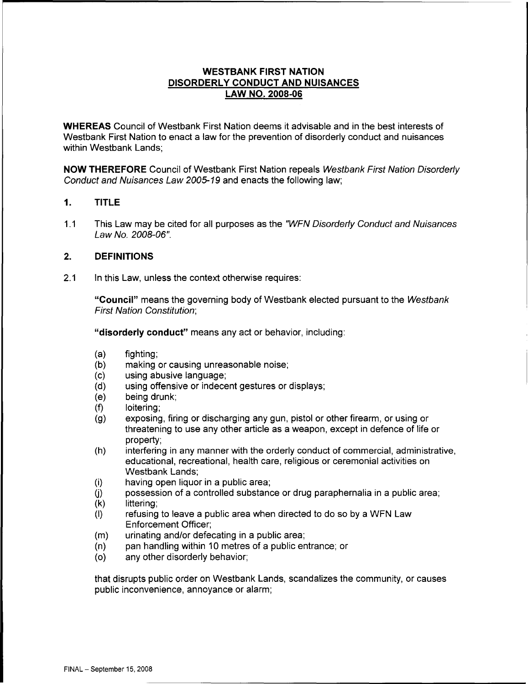# **WESTBANK FIRST NATION DISORDERLY CONDUCT AND NUISANCES LAW NO. 2008-06**

**WHEREAS** Council of Westbank First Nation deems it advisable and in the best interests of Westbank First Nation to enact a law for the prevention of disorderly conduct and nuisances within Westbank Lands;

**NOW THEREFORE** Council of Westbank First Nation repeals Westbank First Nation Disorderly Conduct and Nuisances Law 2005-19 and enacts the following law;

## **1. TITLE**

1.1 This Law may be cited for all purposes as the "WFN Disorderly Conduct and Nuisances Law No. 2008-06".

## **2. DEFINITIONS**

2.1 In this Law, unless the context otherwise requires:

**"Council"** means the governing body of Westbank elected pursuant to the Westbank First Nation Constitution;

**"disorderly conduct"** means any act or behavior, including:

- (a) fighting;
- (b) making or causing unreasonable noise;
- (c) using abusive language;
- (d) using offensive or indecent gestures or displays;
- (e) being drunk;
- (f) loitering;
- (g) exposing, firing or discharging any gun, pistol or other firearm, or using or threatening to use any other article as a weapon, except in defence of life or property;
- (h) interfering in any manner with the orderly conduct of commercial, administrative, educational, recreational, health care, religious or ceremonial activities on Westbank Lands;
- (i) having open liquor in a public area;
- $(i)$  possession of a controlled substance or drug paraphernalia in a public area;
- (k) littering;
- (I) refusing to leave a public area when directed to do so by a WFN Law Enforcement Officer;
- (m) urinating and/or defecating in a public area;
- (n) pan handling within 10 metres of a public entrance; or
- (o) any other disorderly behavior;

that disrupts public order on Westbank Lands, scandalizes the community, or causes public inconvenience, annoyance or alarm;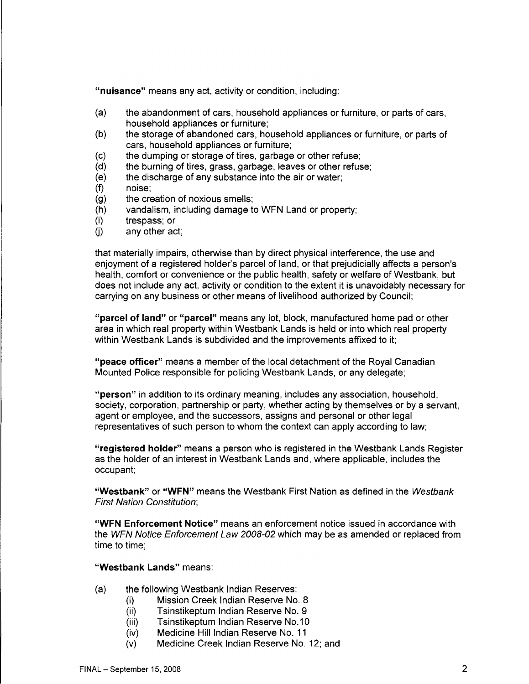**"nuisance"** means any act, activity or condition, including:

- (a) the abandonment of cars, household appliances or furniture, or parts of cars, household appliances or furniture;
- (b) the storage of abandoned cars, household appliances or furniture, or parts of cars, household appliances or furniture;
- (c) the dumping or storage of tires, garbage or other refuse;
- (d) the burning of tires, grass, garbage, leaves or other refuse;
- (e) the discharge of any substance into the air or water;
- (f) noise;
- (g) the creation of noxious smells;
- (h) vandalism, including damage to WFN Land or property;
- (i) trespass; or
- $(i)$  any other act;

that materially impairs, otherwise than by direct physical interference, the use and enjoyment of a registered holder's parcel of land, or that prejudicially affects a person's health, comfort or convenience or the public health, safety or welfare of Westbank, but does not include any act, activity or condition to the extent it is unavoidably necessary for carrying on any business or other means of livelihood authorized by Council;

**"parcel of land" or "parcel"** means any lot, block, manufactured home pad or other area in which real property within Westbank Lands is held or into which real property within Westbank Lands is subdivided and the improvements affixed to it:

**"peace officer"** means a member of the local detachment of the Royal Canadian Mounted Police responsible for policing Westbank Lands, or any delegate;

**"person"** in addition to its ordinary meaning, includes any association, household, society, corporation, partnership or party, whether acting by themselves or by a servant, agent or employee, and the successors, assigns and personal or other legal representatives of such person to whom the context can apply according to law;

**"registered holder"** means a person who is registered in the Westbank Lands Register as the holder of an interest in Westbank Lands and, where applicable, includes the occupant;

**"Westbank" or "WFN"** means the Westbank First Nation as defined in the Westbank First Nation Constitution;

**"WFN Enforcement Notice"** means an enforcement notice issued in accordance with the WFN Notice Enforcement Law 2008-02 which may be as amended or replaced from time to time;

### **"Westbank Lands"** means:

- (a) the following Westbank Indian Reserves:
	- (i) Mission Creek Indian Reserve No. 8
	- (ii) Tsinstikeptum Indian Reserve No. 9
	- (iii) Tsinstikeptum Indian Reserve No.10
	- (iv) Medicine Hill Indian Reserve No. 11
	- (v) Medicine Creek Indian Reserve No. 12; and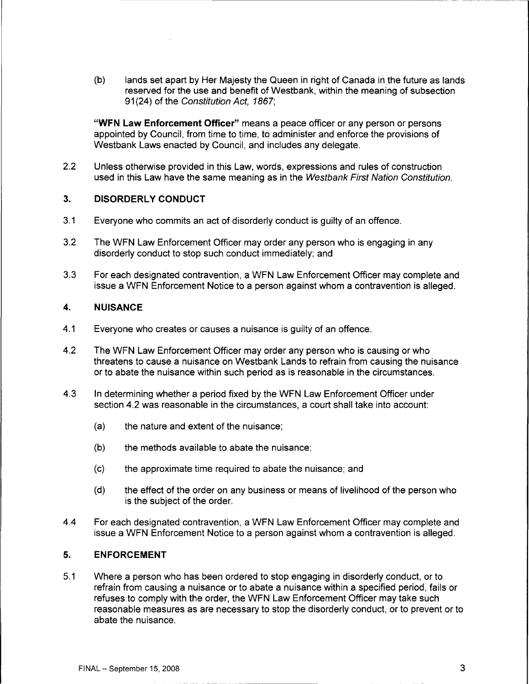(b) lands set apart by Her Majesty the Queen in right of Canada in the future as lands reserved for the use and benefit of Westbank, within the meaning of subsection 91 (24) of the Constitution Act, 1867;

**"WFN Law Enforcement Officer"** means a peace officer or any person or persons appointed by Council, from time to time, to administer and enforce the provisions of Westbank Laws enacted by Council, and includes any delegate.

2.2 Unless otherwise provided in this Law, words, expressions and rules of construction used in this Law have the same meaning as in the Westbank First Nation Constitution.

#### **3. DISORDERLY CONDUCT**

- 3.1 Everyone who commits an act of disorderly conduct is guilty of an offence.
- 3.2 The WFN Law Enforcement Officer may order any person who is engaging in any disorderly conduct to stop such conduct immediately; and
- 3.3 For each designated contravention, a WFN Law Enforcement Officer may complete and issue a WFN Enforcement Notice to a person against whom a contravention is alleged.

## **4. NUISANCE**

- 4.1 Everyone who creates or causes a nuisance is guilty of an offence.
- 4.2 The WFN Law Enforcement Officer may order any person who is causing or who threatens to cause a nuisance on Westbank Lands to refrain from causing the nuisance or to abate the nuisance within such period as is reasonable in the circumstances.
- 4.3 In determining whether a period fixed by the WFN Law Enforcement Officer under section 4.2 was reasonable in the circumstances, a court shall take into account:
	- (a) the nature and extent of the nuisance;
	- (b) the methods available to abate the nuisance;
	- (c) the approximate time required to abate the nuisance; and
	- (d) the effect of the order on any business or means of livelihood of the person who is the subject of the order.
- 4.4 For each designated contravention, a WFN Law Enforcement Officer may complete and issue a WFN Enforcement Notice to a person against whom a contravention is alleged.

#### **5. ENFORCEMENT**

5.1 Where a person who has been ordered to stop engaging in disorderly conduct, or to refrain from causing a nuisance or to abate a nuisance within a specified period, fails or refuses to comply with the order, the WFN Law Enforcement Officer may take such reasonable measures as are necessary to stop the disorderly conduct, or to prevent or to abate the nuisance.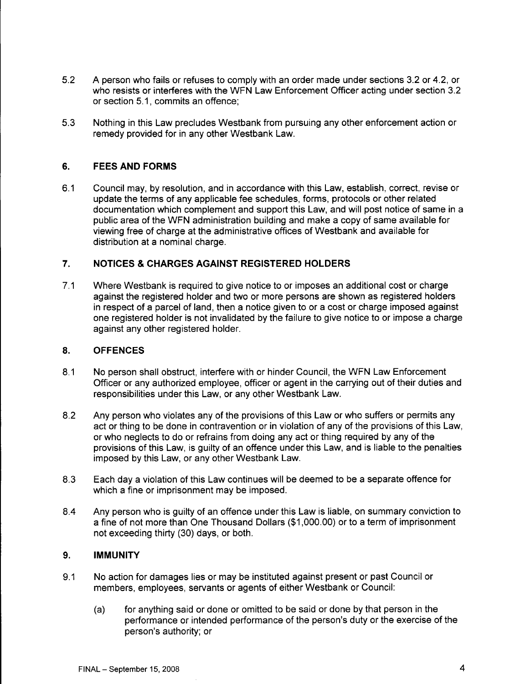- 5.2 A person who fails or refuses to comply with an order made under sections 3.2 or 4.2, or who resists or interferes with the WFN Law Enforcement Officer acting under section 3.2 or section 5.1, commits an offence;
- 5.3 Nothing in this Law precludes Westbank from pursuing any other enforcement action or remedy provided for in any other Westbank Law.

## **6. FEES AND FORMS**

6.1 Council may, by resolution, and in accordance with this Law, establish, correct, revise or update the terms of any applicable fee schedules, forms, protocols or other related documentation which complement and support this Law, and will post notice of same in a public area of the WFN administration building and make a copy of same available for viewing free of charge at the administrative offices of Westbank and available for distribution at a nominal charge.

### **7. NOTICES & CHARGES AGAINST REGISTERED HOLDERS**

7.1 Where Westbank is required to give notice to or imposes an additional cost or charge against the registered holder and two or more persons are shown as registered holders in respect of a parcel of land, then a notice given to or a cost or charge imposed against one registered holder is not invalidated by the failure to give notice to or impose a charge against any other registered holder.

### **8. OFFENCES**

- 8.1 No person shall obstruct, interfere with or hinder Council, the WFN Law Enforcement Officer or any authorized employee, officer or agent in the carrying out of their duties and responsibilities under this Law, or any other Westbank Law.
- 8.2 Any person who violates any of the provisions of this Law or who suffers or permits any act or thing to be done in contravention or in violation of any of the provisions of this Law, or who neglects to do or refrains from doing any act or thing required by any of the provisions of this Law, is guilty of an offence under this Law, and is liable to the penalties imposed by this Law, or any other Westbank Law.
- 8.3 Each day a violation of this Law continues will be deemed to be a separate offence for which a fine or imprisonment may be imposed.
- 8.4 Any person who is guilty of an offence under this Law is liable, on summary conviction to a fine of not more than One Thousand Dollars (\$1,000.00) or to a term of imprisonment not exceeding thirty (30) days, or both.

#### **9. IMMUNITY**

- 9.1 No action for damages lies or may be instituted against present or past Council or members, employees, servants or agents of either Westbank or Council:
	- (a) for anything said or done or omitted to be said or done by that person in the performance or intended performance of the person's duty or the exercise of the person's authority; or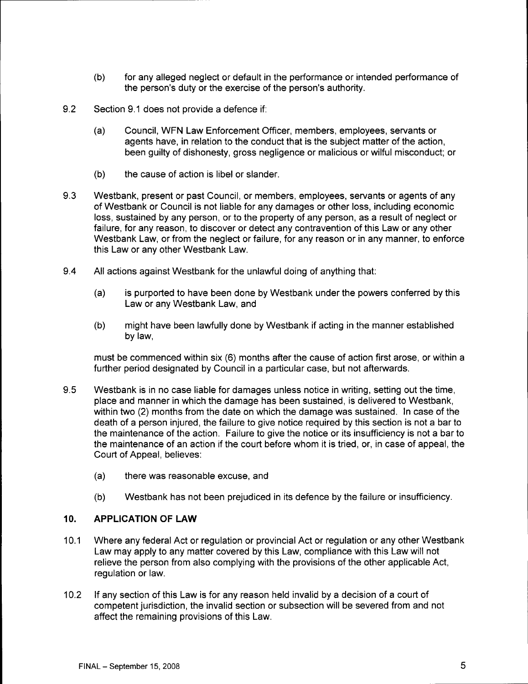- (b) for any alleged neglect or default in the performance or intended performance of the person's duty or the exercise of the person's authority.
- 9.2 Section 9.1 does not provide a defence if:
	- (a) Council, WFN Law Enforcement Officer, members, employees, servants or agents have, in relation to the conduct that is the subject matter of the action, been guilty of dishonesty, gross negligence or malicious or wilful misconduct; or
	- (b) the cause of action is libel or slander.
- 9.3 Westbank, present or past Council, or members, employees, servants or agents of any of Westbank or Council is not liable for any damages or other loss, including economic loss, sustained by any person, or to the property of any person, as a result of neglect or failure, for any reason, to discover or detect any contravention of this Law or any other Westbank Law, or from the neglect or failure, for any reason or in any manner, to enforce this Law or any other Westbank Law.
- 9.4 All actions against Westbank for the unlawful doing of anything that:
	- (a) is purported to have been done by Westbank under the powers conferred by this Law or any Westbank Law, and
	- (b) might have been lawfully done by Westbank if acting in the manner established by law,

must be commenced within six (6) months after the cause of action first arose, or within a further period designated by Council in a particular case, but not afterwards.

- 9.5 Westbank is in no case liable for damages unless notice in writing, setting out the time, place and manner in which the damage has been sustained, is delivered to Westbank, within two (2) months from the date on which the damage was sustained. In case of the death of a person injured, the failure to give notice required by this section is not a bar to the maintenance of the action. Failure to give the notice or its insufficiency is not a bar to the maintenance of an action if the court before whom it is tried, or, in case of appeal, the Court of Appeal, believes:
	- (a) there was reasonable excuse, and
	- (b) Westbank has not been prejudiced in its defence by the failure or insufficiency.

# **10. APPLICATION OF LAW**

- 10.1 Where any federal Act or regulation or provincial Act or regulation or any other Westbank Law may apply to any matter covered by this Law, compliance with this Law will not relieve the person from also complying with the provisions of the other applicable Act, regulation or law.
- 10.2 If any section of this Law is for any reason held invalid by a decision of a court of competent jurisdiction, the invalid section or subsection will be severed from and not affect the remaining provisions of this Law.